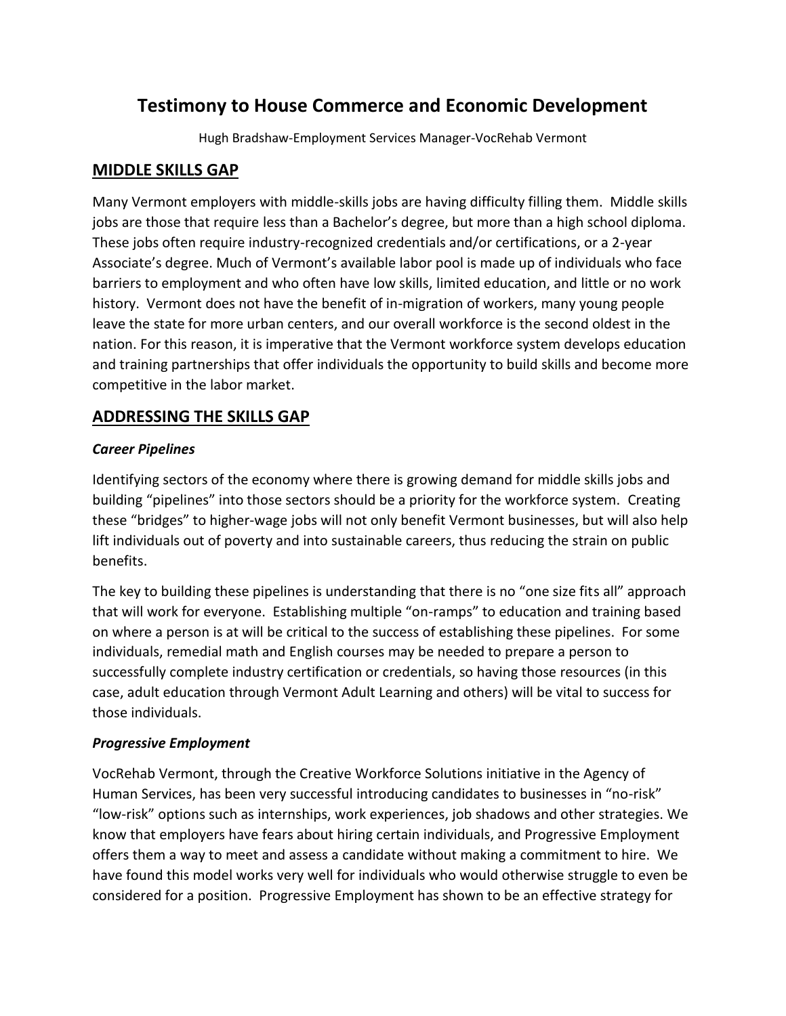# **Testimony to House Commerce and Economic Development**

Hugh Bradshaw-Employment Services Manager-VocRehab Vermont

#### **MIDDLE SKILLS GAP**

Many Vermont employers with middle-skills jobs are having difficulty filling them. Middle skills jobs are those that require less than a Bachelor's degree, but more than a high school diploma. These jobs often require industry-recognized credentials and/or certifications, or a 2-year Associate's degree. Much of Vermont's available labor pool is made up of individuals who face barriers to employment and who often have low skills, limited education, and little or no work history. Vermont does not have the benefit of in-migration of workers, many young people leave the state for more urban centers, and our overall workforce is the second oldest in the nation. For this reason, it is imperative that the Vermont workforce system develops education and training partnerships that offer individuals the opportunity to build skills and become more competitive in the labor market.

## **ADDRESSING THE SKILLS GAP**

#### *Career Pipelines*

Identifying sectors of the economy where there is growing demand for middle skills jobs and building "pipelines" into those sectors should be a priority for the workforce system. Creating these "bridges" to higher-wage jobs will not only benefit Vermont businesses, but will also help lift individuals out of poverty and into sustainable careers, thus reducing the strain on public benefits.

The key to building these pipelines is understanding that there is no "one size fits all" approach that will work for everyone. Establishing multiple "on-ramps" to education and training based on where a person is at will be critical to the success of establishing these pipelines. For some individuals, remedial math and English courses may be needed to prepare a person to successfully complete industry certification or credentials, so having those resources (in this case, adult education through Vermont Adult Learning and others) will be vital to success for those individuals.

#### *Progressive Employment*

VocRehab Vermont, through the Creative Workforce Solutions initiative in the Agency of Human Services, has been very successful introducing candidates to businesses in "no-risk" "low-risk" options such as internships, work experiences, job shadows and other strategies. We know that employers have fears about hiring certain individuals, and Progressive Employment offers them a way to meet and assess a candidate without making a commitment to hire. We have found this model works very well for individuals who would otherwise struggle to even be considered for a position. Progressive Employment has shown to be an effective strategy for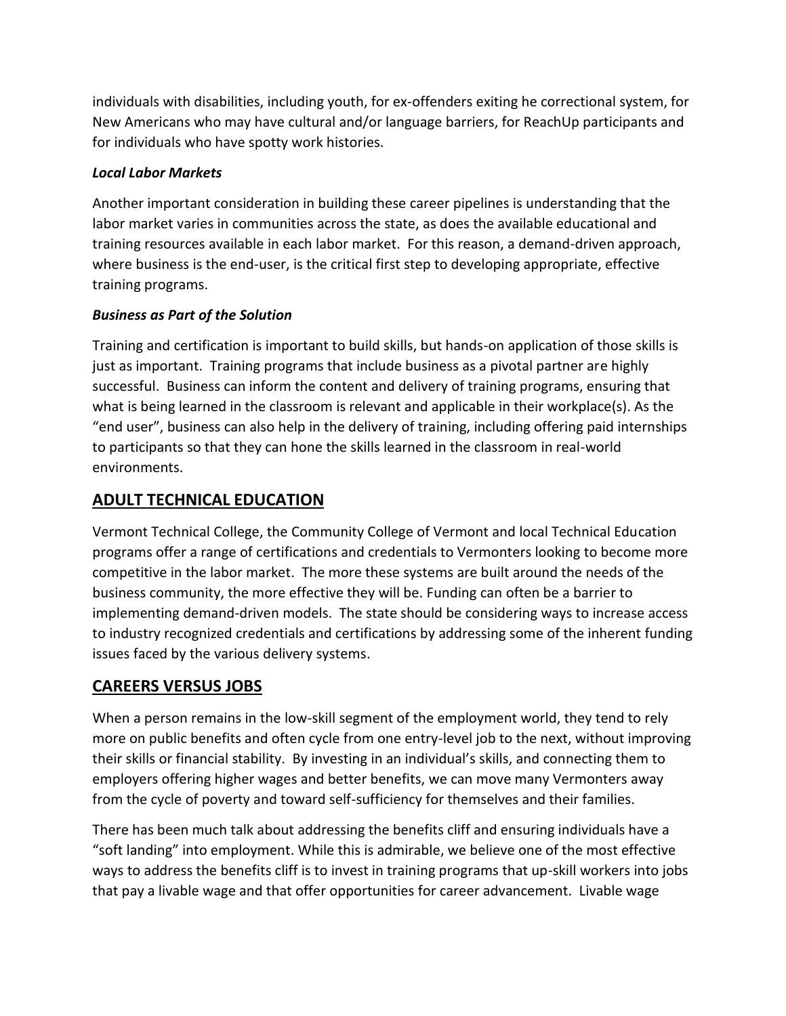individuals with disabilities, including youth, for ex-offenders exiting he correctional system, for New Americans who may have cultural and/or language barriers, for ReachUp participants and for individuals who have spotty work histories.

#### *Local Labor Markets*

Another important consideration in building these career pipelines is understanding that the labor market varies in communities across the state, as does the available educational and training resources available in each labor market. For this reason, a demand-driven approach, where business is the end-user, is the critical first step to developing appropriate, effective training programs.

### *Business as Part of the Solution*

Training and certification is important to build skills, but hands-on application of those skills is just as important. Training programs that include business as a pivotal partner are highly successful. Business can inform the content and delivery of training programs, ensuring that what is being learned in the classroom is relevant and applicable in their workplace(s). As the "end user", business can also help in the delivery of training, including offering paid internships to participants so that they can hone the skills learned in the classroom in real-world environments.

## **ADULT TECHNICAL EDUCATION**

Vermont Technical College, the Community College of Vermont and local Technical Education programs offer a range of certifications and credentials to Vermonters looking to become more competitive in the labor market. The more these systems are built around the needs of the business community, the more effective they will be. Funding can often be a barrier to implementing demand-driven models. The state should be considering ways to increase access to industry recognized credentials and certifications by addressing some of the inherent funding issues faced by the various delivery systems.

## **CAREERS VERSUS JOBS**

When a person remains in the low-skill segment of the employment world, they tend to rely more on public benefits and often cycle from one entry-level job to the next, without improving their skills or financial stability. By investing in an individual's skills, and connecting them to employers offering higher wages and better benefits, we can move many Vermonters away from the cycle of poverty and toward self-sufficiency for themselves and their families.

There has been much talk about addressing the benefits cliff and ensuring individuals have a "soft landing" into employment. While this is admirable, we believe one of the most effective ways to address the benefits cliff is to invest in training programs that up-skill workers into jobs that pay a livable wage and that offer opportunities for career advancement. Livable wage